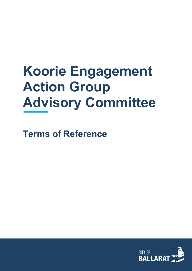# **Koorie Engagement Action Group Advisory Committee**

**Terms of Reference**

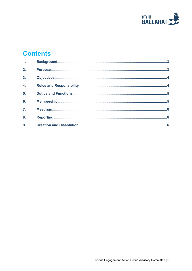

# **Contents**

| 1 <sub>1</sub>   |  |
|------------------|--|
| 2.               |  |
| $\overline{3}$ . |  |
| $\overline{4}$ . |  |
| 5 <sub>1</sub>   |  |
| 6.               |  |
| $\overline{7}$ . |  |
| 8.               |  |
| 9.               |  |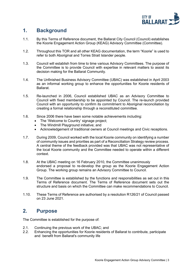

# <span id="page-2-0"></span>**1. Background**

- 1.1. By this Terms of Reference document, the Ballarat City Council (Council) establishes the Koorie Engagement Action Group (KEAG) Advisory Committee (Committee).
- 1.2. Throughout this TOR and all other KEAG documentation, the term "Koorie" is used to refer to both Aboriginal and Torres Strait Islander people.
- 1.3. Council will establish from time to time various Advisory Committees. The purpose of the Committee is to provide Council with expertise in relevant matters to assist its decision making for the Ballarat Community.
- 1.4. The Unfinished Business Advisory Committee (UBAC) was established in April 2003 as an informal working group to enhance the opportunities for Koorie residents of Ballarat.
- 1.5. Re-launched in 2006, Council established UBAC as an Advisory Committee to Council with fixed membership to be appointed by Council. The re-launch provided Council with an opportunity to confirm its commitment to Aboriginal reconciliation by creating a formal relationship through a reconstituted committee.
- 1.6. Since 2006 there have been some notable achievements including:
	- The 'Welcome to Country' signage project;<br>• The Windmill Playground initiative: and
	- The Windmill Playground initiative; and
	- Acknowledgement of traditional owners at Council meetings and Civic receptions.
- 1.7. During 2009, Council worked with the local Koorie community on identifying a number of community issues and priorities as part of a Reconciliation Strategy review process. A central theme of the feedback provided was that UBAC was not representative of the local Koorie community and the Committee needed to operate within a different context.
- 1.8. At the UBAC meeting on 16 February 2010, the Committee unanimously endorsed a proposal to re-develop the group as the Koorie Engagement Action Group. The working group remains an Advisory Committee to Council.
- 1.9. The Committee is established by the functions and responsibilities as set out in this Terms of Reference document. The Terms of Reference document sets out the structure and basis on which the Committee can make recommendations to Council.
- 1.10. These Terms of Reference are authorised by a resolution R126/21 of Council passed on 23 June 2021.

#### <span id="page-2-1"></span>**2. Purpose**

The Committee is established for the purpose of:

- 2.1. Continuing the previous work of the UBAC; and
- 2.2. Enhancing the opportunities for Koorie residents of Ballarat to contribute, participate and benefit from Ballarat's community life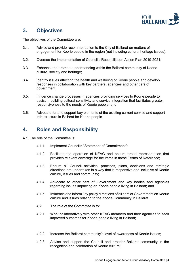

# <span id="page-3-0"></span>**3. Objectives**

<span id="page-3-1"></span>The objectives of the Committee are:

- 3.1. Advise and provide recommendation to the City of Ballarat on matters of engagement for Koorie people in the region (not including cultural heritage issues);
- 3.2. Oversee the implementation of Council's Reconciliation Action Plan 2019-2021;
- 3.3. Enhance and promote understanding within the Ballarat community of Koorie culture, society and heritage;
- 3.4. Identify issues affecting the health and wellbeing of Koorie people and develop responses in collaboration with key partners, agencies and other tiers of government;
- 3.5. Influence change processes in agencies providing services to Koorie people to assist in building cultural sensitivity and service integration that facilitates greater responsiveness to the needs of Koorie people; and
- 3.6. Advocate for and support key elements of the existing current service and support infrastructure in Ballarat for Koorie people.

# **4. Roles and Responsibility**

- 4.1. The role of the Committee is:
	- 4.1.1 Implement Council's "Statement of Commitment";
	- 4.1.2 Facilitate the operation of KEAG and ensure broad representation that provides relevant coverage for the items in these Terms of Reference;
	- 4.1.3 Ensure all Council activities, practices, plans, decisions and strategic directions are undertaken in a way that is responsive and inclusive of Koorie culture, issues and community;
	- 4.1.4 Advocate to other tiers of Government and key bodies and agencies regarding issues impacting on Koorie people living in Ballarat; and
	- 4.1.5 Influence and inform key policy directions of all tiers of Government on Koorie culture and issues relating to the Koorie Community in Ballarat.
	- 4.2 The role of the Committee is to:
	- 4.2.1 Work collaboratively with other KEAG members and their agencies to seek improved outcomes for Koorie people living in Ballarat;
	- 4.2.2 Increase the Ballarat community's level of awareness of Koorie issues;
	- 4.2.3 Advise and support the Council and broader Ballarat community in the recognition and celebration of Koorie culture;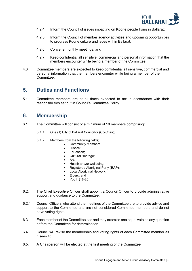

- 4.2.4 Inform the Council of issues impacting on Koorie people living in Ballarat;
- 4.2.5 Inform the Council of member agency activities and upcoming opportunities to progress Koorie culture and isues within Ballarat;
- 4.2.6 Convene monthly meetings; and
- 4.2.7 Keep confidential all sensitive, commercial and personal information that the members encounter while being a member of the Committee.
- 4.3 Committee members are expected to keep confidential all sensitive, commercial and personal information that the members encounter while being a member of the **Committee.**

#### <span id="page-4-0"></span>**5. Duties and Functions**

5.1 Committee members are at all times expected to act in accordance with their responsibilities set out in Council's Committee Policy.

#### <span id="page-4-1"></span>**6. Membership**

- 6.1. The Committee will consist of a minimum of 10 members comprising:
	- 6.1.1 One (1) City of Ballarat Councillor (Co-Chair);
	- 6.1.2 Members from the following fields;
		- Community members;
		- Justice;
		- Education;
		- Cultural Heritage;
		- Arts;
		- Health and/or wellbeing;
		- Registered Aboriginal Party (**RAP**);
		- Local Aboriginal Network:
		- Elders; and
		- Youth (18-26).
- 6.2. The Chief Executive Officer shall appoint a Council Officer to provide administrative support and guidance to the Committee.
- 6.2.1 Council Officers who attend the meetings of the Committee are to provide advice and support to the Committee and are not considered Committee members and do not have voting rights.
- 6.3. Each member of the Committee has and may exercise one equal vote on any question before the Committee for determination.
- 6.4. Council will revise the membership and voting rights of each Committee member as it sees fit.
- 6.5. A Chairperson will be elected at the first meeting of the Committee.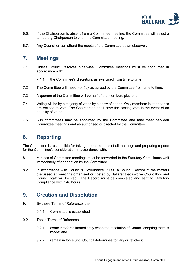

- 6.6. If the Chairperson is absent from a Committee meeting, the Committee will select a temporary Chairperson to chair the Committee meeting.
- 6.7. Any Councillor can attend the meets of the Committee as an observer.

# <span id="page-5-0"></span>**7. Meetings**

- 7.1 Unless Council resolves otherwise, Committee meetings must be conducted in accordance with:
	- 7.1.1 the Committee's discretion, as exercised from time to time.
- 7.2 The Committee will meet *monthly* as agreed by the Committee from time to time.
- 7.3 A quorum of the Committee will be half of the members plus one.
- 7.4 Voting will be by a majority of votes by a show of hands. Only members in attendance are entitled to vote. The Chairperson shall have the casting vote in the event of an equality of votes.
- 7.5 Sub committees may be appointed by the Committee and may meet between Committee meetings and as authorised or directed by the Committee.

# <span id="page-5-1"></span>**8. Reporting**

The Committee is responsible for taking proper minutes of all meetings and preparing reports for the Committee's consideration in accordance with:

- 8.1 Minutes of Committee meetings must be forwarded to the Statutory Compliance Unit immediately after adoption by the Committee.
- 8.2 In accordance with Council's Governance Rules, a Council Record of the matters discussed at meetings organised or hosted by Ballarat that involve Councillors and Council staff will be kept. The Record must be completed and sent to Statutory Compliance within 48 hours.

#### <span id="page-5-2"></span>**9. Creation and Dissolution**

- 9.1 By these Terms of Reference, the:
	- 9.1.1 Committee is established
- 9.2 These Terms of Reference
	- 9.2.1 come into force immediately when the resolution of Council adopting them is made; and
	- 9.2.2 remain in force until Council determines to vary or revoke it.